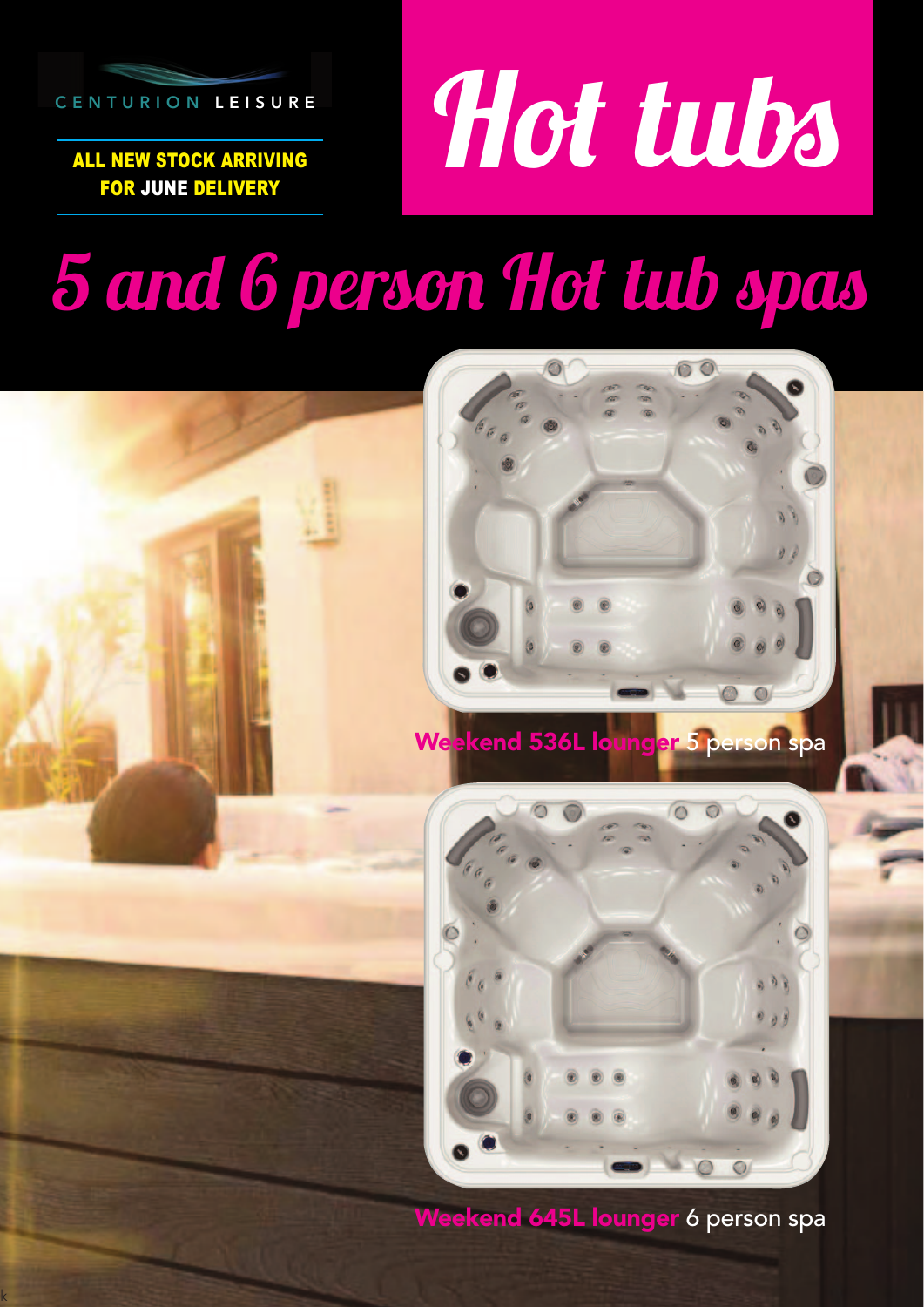

ALL NEW STOCK ARRIVING FOR JUNE DELIVERY

k

# Hot tubs

## 5 and 6 person Hot tub spas



Weekend 645L lounger 6 person spa